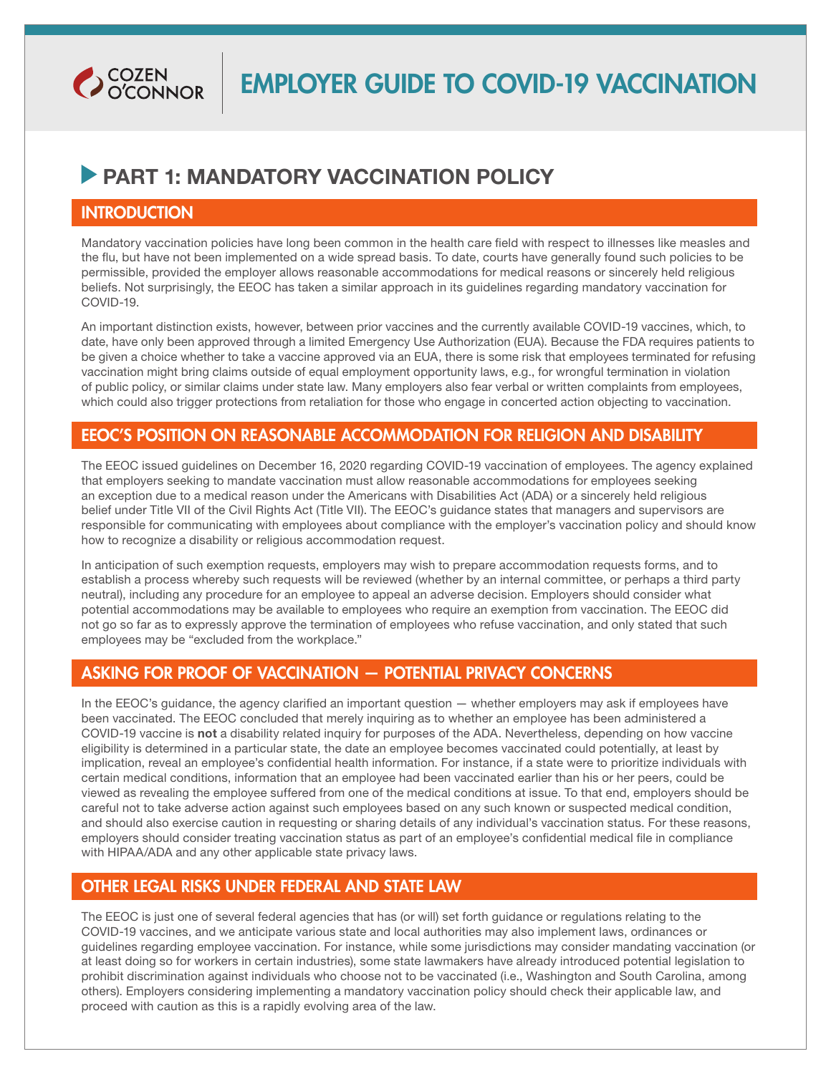

## **PART 1: MANDATORY VACCINATION POLICY**

#### **INTRODUCTION**

Mandatory vaccination policies have long been common in the health care field with respect to illnesses like measles and the flu, but have not been implemented on a wide spread basis. To date, courts have generally found such policies to be permissible, provided the employer allows reasonable accommodations for medical reasons or sincerely held religious beliefs. Not surprisingly, the EEOC has taken a similar approach in its guidelines regarding mandatory vaccination for COVID-19.

An important distinction exists, however, between prior vaccines and the currently available COVID-19 vaccines, which, to date, have only been approved through a limited Emergency Use Authorization (EUA). Because the FDA requires patients to be given a choice whether to take a vaccine approved via an EUA, there is some risk that employees terminated for refusing vaccination might bring claims outside of equal employment opportunity laws, e.g., for wrongful termination in violation of public policy, or similar claims under state law. Many employers also fear verbal or written complaints from employees, which could also trigger protections from retaliation for those who engage in concerted action objecting to vaccination.

#### EEOC'S POSITION ON REASONABLE ACCOMMODATION FOR RELIGION AND DISABILITY

The EEOC issued guidelines on December 16, 2020 regarding COVID-19 vaccination of employees. The agency explained that employers seeking to mandate vaccination must allow reasonable accommodations for employees seeking an exception due to a medical reason under the Americans with Disabilities Act (ADA) or a sincerely held religious belief under Title VII of the Civil Rights Act (Title VII). The EEOC's guidance states that managers and supervisors are responsible for communicating with employees about compliance with the employer's vaccination policy and should know how to recognize a disability or religious accommodation request.

In anticipation of such exemption requests, employers may wish to prepare accommodation requests forms, and to establish a process whereby such requests will be reviewed (whether by an internal committee, or perhaps a third party neutral), including any procedure for an employee to appeal an adverse decision. Employers should consider what potential accommodations may be available to employees who require an exemption from vaccination. The EEOC did not go so far as to expressly approve the termination of employees who refuse vaccination, and only stated that such employees may be "excluded from the workplace."

### ASKING FOR PROOF OF VACCINATION — POTENTIAL PRIVACY CONCERNS

In the EEOC's guidance, the agency clarified an important question — whether employers may ask if employees have been vaccinated. The EEOC concluded that merely inquiring as to whether an employee has been administered a COVID-19 vaccine is not a disability related inquiry for purposes of the ADA. Nevertheless, depending on how vaccine eligibility is determined in a particular state, the date an employee becomes vaccinated could potentially, at least by implication, reveal an employee's confidential health information. For instance, if a state were to prioritize individuals with certain medical conditions, information that an employee had been vaccinated earlier than his or her peers, could be viewed as revealing the employee suffered from one of the medical conditions at issue. To that end, employers should be careful not to take adverse action against such employees based on any such known or suspected medical condition, and should also exercise caution in requesting or sharing details of any individual's vaccination status. For these reasons, employers should consider treating vaccination status as part of an employee's confidential medical file in compliance with HIPAA/ADA and any other applicable state privacy laws.

#### OTHER LEGAL RISKS UNDER FEDERAL AND STATE LAW

The EEOC is just one of several federal agencies that has (or will) set forth guidance or regulations relating to the COVID-19 vaccines, and we anticipate various state and local authorities may also implement laws, ordinances or guidelines regarding employee vaccination. For instance, while some jurisdictions may consider mandating vaccination (or at least doing so for workers in certain industries), some state lawmakers have already introduced potential legislation to prohibit discrimination against individuals who choose not to be vaccinated (i.e., Washington and South Carolina, among others). Employers considering implementing a mandatory vaccination policy should check their applicable law, and proceed with caution as this is a rapidly evolving area of the law.